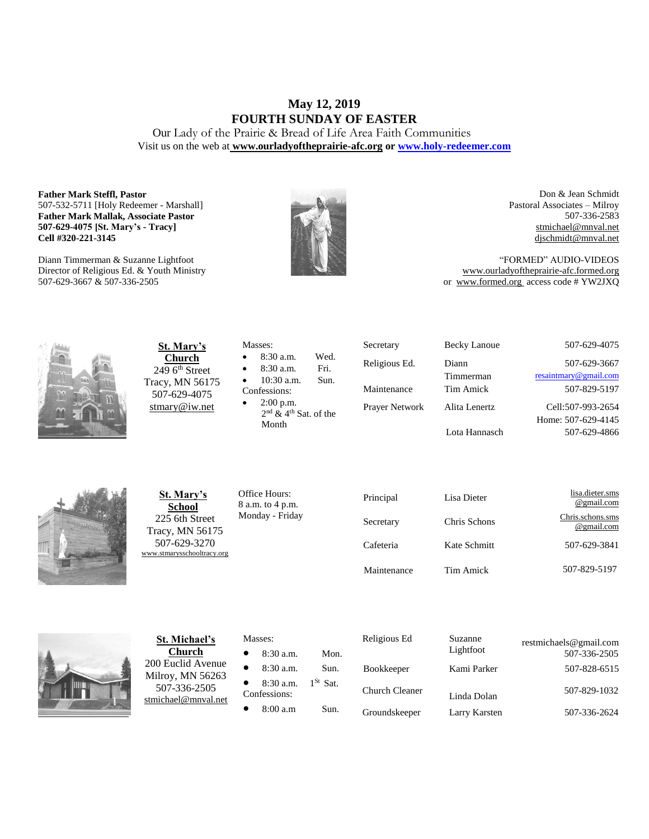# **May 12, 2019 FOURTH SUNDAY OF EASTER**

Our Lady of the Prairie & Bread of Life Area Faith Communities Visit us on the web at **[www.ourladyoftheprairie-afc.org](http://www.ourladyoftheprairie-afc.org/) o[r www.holy-redeemer.com](http://www.holy-redeemer.com/)**

#### **Father Mark Steffl, Pastor** 507-532-5711 [Holy Redeemer - Marshall] **Father Mark Mallak, Associate Pastor 507-629-4075 [St. Mary's - Tracy] Cell #320-221-3145**

Diann Timmerman & Suzanne Lightfoot Director of Religious Ed. & Youth Ministry 507-629-3667 & 507-336-2505



Don & Jean Schmidt Pastoral Associates – Milroy 507-336-2583 [stmichael@mnval.net](mailto:stmichael@means.net) [djschmidt@mnval.net](mailto:djschmidt@mnval.net)

"FORMED" AUDIO-VIDEOS [www.ourladyoftheprairie-afc.formed.org](http://www.ourladyoftheprairie-afc.formed.org/) or www.formed.org access code # YW2JXQ



**St. Mary's Church**  $2496$ <sup>th</sup> Street Tracy, MN 56175 507-629-4075 [stmary@iw.net](mailto:stmary@iw.net)

|              | Masses:                             |      |
|--------------|-------------------------------------|------|
| $\bullet$    | $8:30$ a.m.                         | Wed. |
| $\bullet$    | 8:30 a.m.                           | Fri. |
| $\bullet$    | $10:30$ a.m.                        | Sun. |
| Confessions: |                                     |      |
| $\bullet$    | $2:00$ p.m.                         |      |
|              | $2nd$ & 4 <sup>th</sup> Sat. of the |      |

Secretary Becky Lanoue 507-629-4075 Religious Ed. Diann Timmerman Prayer Network Alita Lenertz Lota Hannasch

507-629-3667 [resaintmary@gmail.com](mailto:resaintmary@gmail.com) Maintenance Tim Amick 507-829-5197 Cell:507-993-2654 Home: 507-629-4145 507-629-4866



**St. Mary's School** 225 6th Street Tracy, MN 56175 507-629-3270 [www.stmarysschooltracy.org](http://www.stmarysschooltracy.org/) Office Hours: 8 a.m. to 4 p.m. Monday - Friday

Month

| Principal   | Lisa Dieter  | lisa.dieter.sms<br>@gmail.com  |
|-------------|--------------|--------------------------------|
| Secretary   | Chris Schons | Chris.schons.sms<br>@gmail.com |
| Cafeteria   | Kate Schmitt | 507-629-3841                   |
| Maintenance | Tim Amick    | 507-829-5197                   |



**St. Michael's Church** 200 Euclid Avenue Milroy, MN 56263 507-336-2505 [stmichael@mnval.net](mailto:stmichael@mnval.net)

### Masses:

• 8:30 a.m. Mon.  $\bullet$  8:30 a.m. Sun. 8:30 a.m.  $1^{St}$  Sat. Confessions: • 8:00 a.m Sun.

| Religious Ed          | Suzanne<br>Lightfoot | restmichaels@gmail.com<br>507-336-2505 |
|-----------------------|----------------------|----------------------------------------|
| <b>Bookkeeper</b>     | Kami Parker          | 507-828-6515                           |
| <b>Church Cleaner</b> | Linda Dolan          | 507-829-1032                           |
| Groundskeeper         | Larry Karsten        | 507-336-2624                           |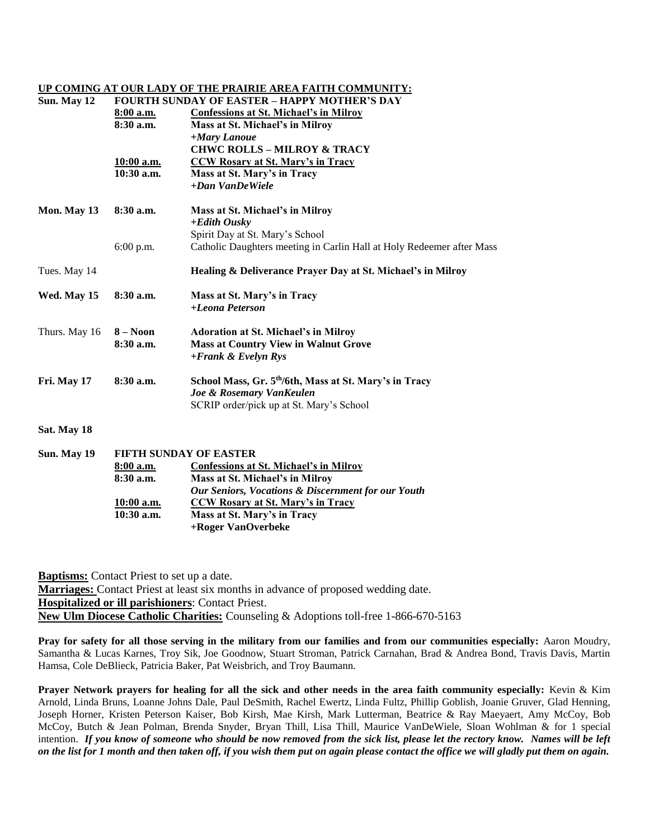#### **UP COMING AT OUR LADY OF THE PRAIRIE AREA FAITH COMMUNITY:**

| Sun. May 12   | <b>FOURTH SUNDAY OF EASTER - HAPPY MOTHER'S DAY</b> |                                                                       |  |  |
|---------------|-----------------------------------------------------|-----------------------------------------------------------------------|--|--|
|               | 8:00 a.m.                                           | <b>Confessions at St. Michael's in Milroy</b>                         |  |  |
|               | $8:30$ a.m.                                         | Mass at St. Michael's in Milroy                                       |  |  |
|               |                                                     | +Mary Lanoue                                                          |  |  |
|               |                                                     | <b>CHWC ROLLS - MILROY &amp; TRACY</b>                                |  |  |
|               | 10:00 a.m.                                          | <b>CCW Rosary at St. Mary's in Tracy</b>                              |  |  |
|               | $10:30$ a.m.                                        | Mass at St. Mary's in Tracy                                           |  |  |
|               |                                                     | $+Dan$ VanDeWiele                                                     |  |  |
| Mon. May 13   | $8:30$ a.m.                                         | Mass at St. Michael's in Milroy                                       |  |  |
|               |                                                     | $+$ <i>Edith Ousky</i>                                                |  |  |
|               |                                                     | Spirit Day at St. Mary's School                                       |  |  |
|               | $6:00$ p.m.                                         | Catholic Daughters meeting in Carlin Hall at Holy Redeemer after Mass |  |  |
| Tues. May 14  |                                                     | Healing & Deliverance Prayer Day at St. Michael's in Milroy           |  |  |
| Wed. May 15   | $8:30$ a.m.                                         | Mass at St. Mary's in Tracy                                           |  |  |
|               |                                                     | +Leona Peterson                                                       |  |  |
| Thurs. May 16 | $8 - N00n$                                          | <b>Adoration at St. Michael's in Milroy</b>                           |  |  |
|               | $8:30$ a.m.                                         | <b>Mass at Country View in Walnut Grove</b>                           |  |  |
|               |                                                     | $+Frank & Evelyn Rys$                                                 |  |  |
| Fri. May 17   | 8:30 a.m.                                           | School Mass, Gr. 5 <sup>th</sup> /6th, Mass at St. Mary's in Tracy    |  |  |
|               |                                                     | Joe & Rosemary VanKeulen                                              |  |  |
|               |                                                     | SCRIP order/pick up at St. Mary's School                              |  |  |
| Sat. May 18   |                                                     |                                                                       |  |  |
|               |                                                     |                                                                       |  |  |

| Sun. May 19 | <b>FIFTH SUNDAY OF EASTER</b> |                                                               |  |
|-------------|-------------------------------|---------------------------------------------------------------|--|
|             | $8:00$ a.m.                   | Confessions at St. Michael's in Milroy                        |  |
|             | $8:30$ a.m.                   | Mass at St. Michael's in Milrov                               |  |
|             |                               | <b>Our Seniors, Vocations &amp; Discernment for our Youth</b> |  |
|             | $10:00$ a.m.                  | CCW Rosary at St. Mary's in Tracy                             |  |
|             | $10:30$ a.m.                  | Mass at St. Mary's in Tracy                                   |  |
|             |                               | +Roger VanOverbeke                                            |  |

**Baptisms:** Contact Priest to set up a date. **Marriages:** Contact Priest at least six months in advance of proposed wedding date. **Hospitalized or ill parishioners**: Contact Priest. **New Ulm Diocese Catholic Charities:** Counseling & Adoptions toll-free 1-866-670-5163

**Pray for safety for all those serving in the military from our families and from our communities especially:** Aaron Moudry, Samantha & Lucas Karnes, Troy Sik, Joe Goodnow, Stuart Stroman, Patrick Carnahan, Brad & Andrea Bond, Travis Davis, Martin Hamsa, Cole DeBlieck, Patricia Baker, Pat Weisbrich, and Troy Baumann.

**Prayer Network prayers for healing for all the sick and other needs in the area faith community especially:** Kevin & Kim Arnold, Linda Bruns, Loanne Johns Dale, Paul DeSmith, Rachel Ewertz, Linda Fultz, Phillip Goblish, Joanie Gruver, Glad Henning, Joseph Horner, Kristen Peterson Kaiser, Bob Kirsh, Mae Kirsh, Mark Lutterman, Beatrice & Ray Maeyaert, Amy McCoy, Bob McCoy, Butch & Jean Polman, Brenda Snyder, Bryan Thill, Lisa Thill, Maurice VanDeWiele, Sloan Wohlman & for 1 special intention. *If you know of someone who should be now removed from the sick list, please let the rectory know. Names will be left on the list for 1 month and then taken off, if you wish them put on again please contact the office we will gladly put them on again.*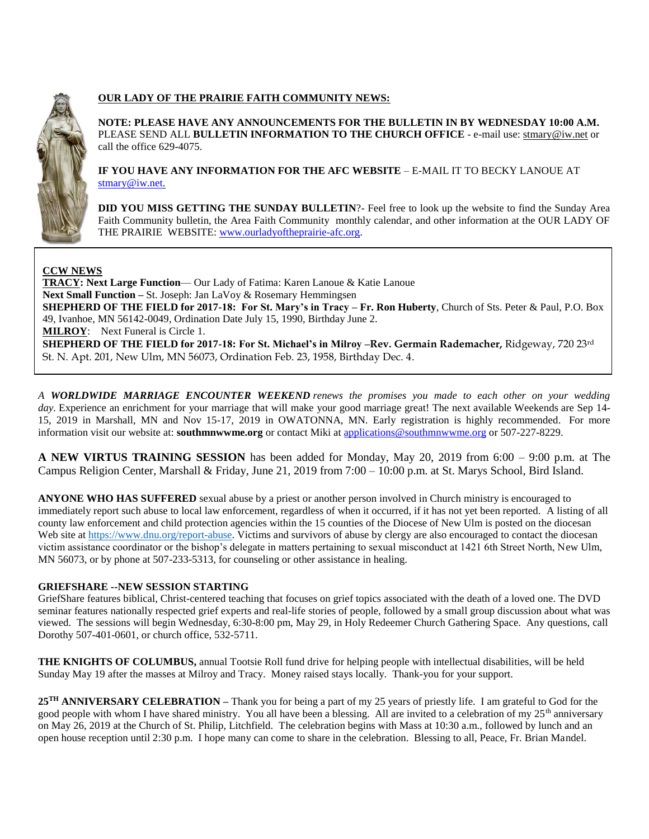

# **OUR LADY OF THE PRAIRIE FAITH COMMUNITY NEWS:**

**NOTE: PLEASE HAVE ANY ANNOUNCEMENTS FOR THE BULLETIN IN BY WEDNESDAY 10:00 A.M.** PLEASE SEND ALL **BULLETIN INFORMATION TO THE CHURCH OFFICE** - e-mail use[: stmary@iw.net](mailto:stmary@iw.net) or call the office 629-4075.

**IF YOU HAVE ANY INFORMATION FOR THE AFC WEBSITE** – E-MAIL IT TO BECKY LANOUE AT [stmary@iw.net.](mailto:stmary@iw.net)

**DID YOU MISS GETTING THE SUNDAY BULLETIN**?- Feel free to look up the website to find the Sunday Area Faith Community bulletin, the Area Faith Community monthly calendar, and other information at the OUR LADY OF THE PRAIRIE WEBSITE: [www.ourladyoftheprairie-afc.org.](http://www.ourladyoftheprairie-afc.org/)

## **CCW NEWS**

**TRACY: Next Large Function**— Our Lady of Fatima: Karen Lanoue & Katie Lanoue **Next Small Function –** St. Joseph: Jan LaVoy & Rosemary Hemmingsen **SHEPHERD OF THE FIELD for 2017-18: For St. Mary's in Tracy – Fr. Ron Huberty**, Church of Sts. Peter & Paul, P.O. Box 49, Ivanhoe, MN 56142-0049, Ordination Date July 15, 1990, Birthday June 2. **MILROY**: Next Funeral is Circle 1. **SHEPHERD OF THE FIELD for 2017-18: For St. Michael's in Milroy –Rev. Germain Rademacher,** Ridgeway, 720 23rd St. N. Apt. 201, New Ulm, MN 56073, Ordination Feb. 23, 1958, Birthday Dec. 4.

*A WORLDWIDE MARRIAGE ENCOUNTER WEEKEND renews the promises you made to each other on your wedding*  day. Experience an enrichment for your marriage that will make your good marriage great! The next available Weekends are Sep 14-15, 2019 in Marshall, MN and Nov 15-17, 2019 in OWATONNA, MN. Early registration is highly recommended. For more information visit our website at: **southmnwwme.org** or contact Miki at [applications@southmnwwme.org](mailto:wmandbethnickles@hotmail.com) or 507-227-8229.

**A NEW VIRTUS TRAINING SESSION** has been added for Monday, May 20, 2019 from 6:00 – 9:00 p.m. at The Campus Religion Center, Marshall & Friday, June 21, 2019 from  $7:00 - 10:00$  p.m. at St. Marys School, Bird Island.

**ANYONE WHO HAS SUFFERED** sexual abuse by a priest or another person involved in Church ministry is encouraged to immediately report such abuse to local law enforcement, regardless of when it occurred, if it has not yet been reported. A listing of all county law enforcement and child protection agencies within the 15 counties of the Diocese of New Ulm is posted on the diocesan Web site at [https://www.dnu.org/report-abuse.](https://www.dnu.org/report-abuse) Victims and survivors of abuse by clergy are also encouraged to contact the diocesan victim assistance coordinator or the bishop's delegate in matters pertaining to sexual misconduct at 1421 6th Street North, New Ulm, MN 56073, or by phone at 507-233-5313, for counseling or other assistance in healing.

## **GRIEFSHARE --NEW SESSION STARTING**

GriefShare features biblical, Christ-centered teaching that focuses on grief topics associated with the death of a loved one. The DVD seminar features nationally respected grief experts and real-life stories of people, followed by a small group discussion about what was viewed. The sessions will begin Wednesday, 6:30-8:00 pm, May 29, in Holy Redeemer Church Gathering Space. Any questions, call Dorothy 507-401-0601, or church office, 532-5711.

**THE KNIGHTS OF COLUMBUS,** annual Tootsie Roll fund drive for helping people with intellectual disabilities, will be held Sunday May 19 after the masses at Milroy and Tracy. Money raised stays locally. Thank-you for your support.

**25TH ANNIVERSARY CELEBRATION –** Thank you for being a part of my 25 years of priestly life. I am grateful to God for the good people with whom I have shared ministry. You all have been a blessing. All are invited to a celebration of my  $25<sup>th</sup>$  anniversary on May 26, 2019 at the Church of St. Philip, Litchfield. The celebration begins with Mass at 10:30 a.m., followed by lunch and an open house reception until 2:30 p.m. I hope many can come to share in the celebration. Blessing to all, Peace, Fr. Brian Mandel.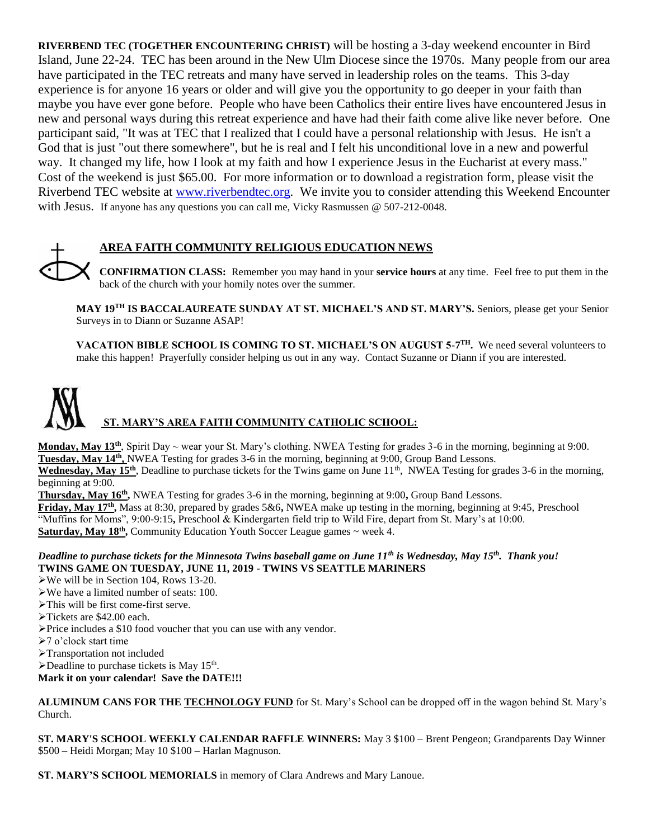**RIVERBEND TEC (TOGETHER ENCOUNTERING CHRIST)** will be hosting a 3-day weekend encounter in Bird Island, June 22-24. TEC has been around in the New Ulm Diocese since the 1970s. Many people from our area have participated in the TEC retreats and many have served in leadership roles on the teams. This 3-day experience is for anyone 16 years or older and will give you the opportunity to go deeper in your faith than maybe you have ever gone before. People who have been Catholics their entire lives have encountered Jesus in new and personal ways during this retreat experience and have had their faith come alive like never before. One participant said, "It was at TEC that I realized that I could have a personal relationship with Jesus. He isn't a God that is just "out there somewhere", but he is real and I felt his unconditional love in a new and powerful way. It changed my life, how I look at my faith and how I experience Jesus in the Eucharist at every mass." Cost of the weekend is just \$65.00. For more information or to download a registration form, please visit the Riverbend TEC website at [www.riverbendtec.org.](http://www.riverbendtec.org/) We invite you to consider attending this Weekend Encounter with Jesus. If anyone has any questions you can call me, Vicky Rasmussen @ 507-212-0048.



# **AREA FAITH COMMUNITY RELIGIOUS EDUCATION NEWS**

**CONFIRMATION CLASS:** Remember you may hand in your **service hours** at any time. Feel free to put them in the back of the church with your homily notes over the summer.

**MAY 19TH IS BACCALAUREATE SUNDAY AT ST. MICHAEL'S AND ST. MARY'S.** Seniors, please get your Senior Surveys in to Diann or Suzanne ASAP!

**VACATION BIBLE SCHOOL IS COMING TO ST. MICHAEL'S ON AUGUST 5-7 TH.** We need several volunteers to make this happen! Prayerfully consider helping us out in any way. Contact Suzanne or Diann if you are interested.

# **ST. MARY'S AREA FAITH COMMUNITY CATHOLIC SCHOOL:**

**Monday, May 13th**, Spirit Day ~ wear your St. Mary's clothing. NWEA Testing for grades 3-6 in the morning, beginning at 9:00. **Tuesday, May 14th ,** NWEA Testing for grades 3-6 in the morning, beginning at 9:00, Group Band Lessons.

**Wednesday, May 15<sup>th</sup>**, Deadline to purchase tickets for the Twins game on June  $11<sup>th</sup>$ , NWEA Testing for grades 3-6 in the morning, beginning at 9:00.

**Thursday, May 16th ,** NWEA Testing for grades 3-6 in the morning, beginning at 9:00**,** Group Band Lessons. **Friday, May 17th ,** Mass at 8:30, prepared by grades 5&6**,** NWEA make up testing in the morning, beginning at 9:45, Preschool "Muffins for Moms", 9:00-9:15**,** Preschool & Kindergarten field trip to Wild Fire, depart from St. Mary's at 10:00. Saturday, May 18<sup>th</sup>, Community Education Youth Soccer League games ~ week 4.

## *Deadline to purchase tickets for the Minnesota Twins baseball game on June 11th is Wednesday, May 15th . Thank you!* **TWINS GAME ON TUESDAY, JUNE 11, 2019 - TWINS VS SEATTLE MARINERS**

- We will be in Section 104, Rows 13-20.
- We have a limited number of seats: 100.
- This will be first come-first serve.
- Tickets are \$42.00 each.
- Price includes a \$10 food voucher that you can use with any vendor.
- 7 o'clock start time
- Transportation not included
- $\blacktriangleright$  Deadline to purchase tickets is May 15<sup>th</sup>.

**Mark it on your calendar! Save the DATE!!!**

ALUMINUM CANS FOR THE **TECHNOLOGY FUND** for St. Mary's School can be dropped off in the wagon behind St. Mary's Church.

**ST. MARY'S SCHOOL WEEKLY CALENDAR RAFFLE WINNERS:** May 3 \$100 – Brent Pengeon; Grandparents Day Winner \$500 – Heidi Morgan; May 10 \$100 – Harlan Magnuson.

**ST. MARY'S SCHOOL MEMORIALS** in memory of Clara Andrews and Mary Lanoue.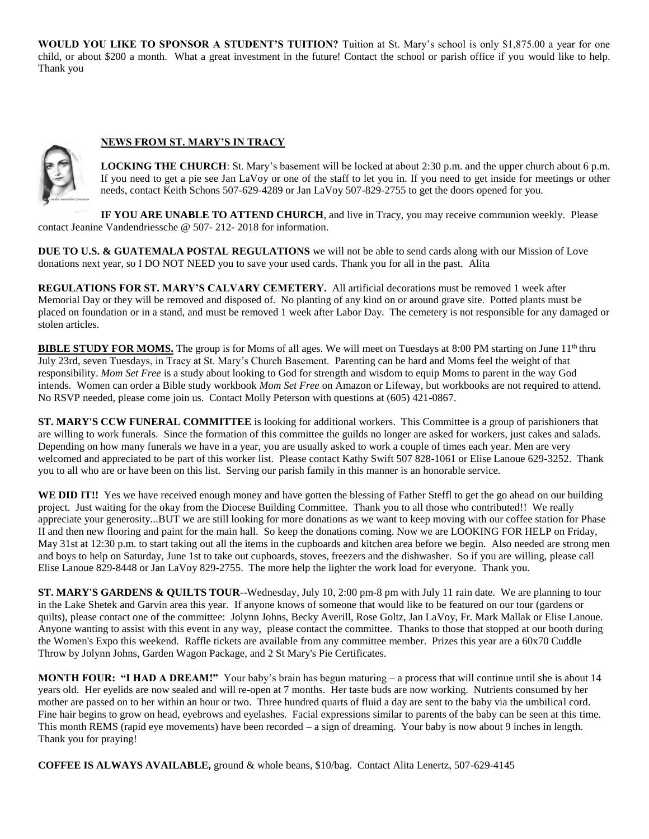**WOULD YOU LIKE TO SPONSOR A STUDENT'S TUITION?** Tuition at St. Mary's school is only \$1,875.00 a year for one child, or about \$200 a month. What a great investment in the future! Contact the school or parish office if you would like to help. Thank you

## **NEWS FROM ST. MARY'S IN TRACY**



**LOCKING THE CHURCH**: St. Mary's basement will be locked at about 2:30 p.m. and the upper church about 6 p.m. If you need to get a pie see Jan LaVoy or one of the staff to let you in. If you need to get inside for meetings or other needs, contact Keith Schons 507-629-4289 or Jan LaVoy 507-829-2755 to get the doors opened for you.

**IF YOU ARE UNABLE TO ATTEND CHURCH**, and live in Tracy, you may receive communion weekly. Please contact Jeanine Vandendriessche @ 507- 212- 2018 for information.

**DUE TO U.S. & GUATEMALA POSTAL REGULATIONS** we will not be able to send cards along with our Mission of Love donations next year, so I DO NOT NEED you to save your used cards. Thank you for all in the past. Alita

**REGULATIONS FOR ST. MARY'S CALVARY CEMETERY.** All artificial decorations must be removed 1 week after Memorial Day or they will be removed and disposed of. No planting of any kind on or around grave site. Potted plants must be placed on foundation or in a stand, and must be removed 1 week after Labor Day. The cemetery is not responsible for any damaged or stolen articles.

**BIBLE STUDY FOR MOMS.** The group is for Moms of all ages. We will meet on Tuesdays at 8:00 PM starting on June 11<sup>th</sup> thru July 23rd, seven Tuesdays, in Tracy at St. Mary's Church Basement. Parenting can be hard and Moms feel the weight of that responsibility. *Mom Set Free* is a study about looking to God for strength and wisdom to equip Moms to parent in the way God intends. Women can order a Bible study workbook *Mom Set Free* on Amazon or Lifeway, but workbooks are not required to attend. No RSVP needed, please come join us. Contact Molly Peterson with questions at (605) 421-0867.

**ST. MARY'S CCW FUNERAL COMMITTEE** is looking for additional workers. This Committee is a group of parishioners that are willing to work funerals. Since the formation of this committee the guilds no longer are asked for workers, just cakes and salads. Depending on how many funerals we have in a year, you are usually asked to work a couple of times each year. Men are very welcomed and appreciated to be part of this worker list. Please contact Kathy Swift 507 828-1061 or Elise Lanoue 629-3252. Thank you to all who are or have been on this list. Serving our parish family in this manner is an honorable service.

WE DID IT!! Yes we have received enough money and have gotten the blessing of Father Steffl to get the go ahead on our building project. Just waiting for the okay from the Diocese Building Committee. Thank you to all those who contributed!! We really appreciate your generosity...BUT we are still looking for more donations as we want to keep moving with our coffee station for Phase II and then new flooring and paint for the main hall. So keep the donations coming. Now we are LOOKING FOR HELP on Friday, May 31st at 12:30 p.m. to start taking out all the items in the cupboards and kitchen area before we begin. Also needed are strong men and boys to help on Saturday, June 1st to take out cupboards, stoves, freezers and the dishwasher. So if you are willing, please call Elise Lanoue 829-8448 or Jan LaVoy 829-2755. The more help the lighter the work load for everyone. Thank you.

**ST. MARY'S GARDENS & QUILTS TOUR--Wednesday, July 10, 2:00 pm-8 pm with July 11 rain date. We are planning to tour** in the Lake Shetek and Garvin area this year. If anyone knows of someone that would like to be featured on our tour (gardens or quilts), please contact one of the committee: Jolynn Johns, Becky Averill, Rose Goltz, Jan LaVoy, Fr. Mark Mallak or Elise Lanoue. Anyone wanting to assist with this event in any way, please contact the committee. Thanks to those that stopped at our booth during the Women's Expo this weekend. Raffle tickets are available from any committee member. Prizes this year are a 60x70 Cuddle Throw by Jolynn Johns, Garden Wagon Package, and 2 St Mary's Pie Certificates.

**MONTH FOUR: "I HAD A DREAM!"** Your baby's brain has begun maturing – a process that will continue until she is about 14 years old. Her eyelids are now sealed and will re-open at 7 months. Her taste buds are now working. Nutrients consumed by her mother are passed on to her within an hour or two. Three hundred quarts of fluid a day are sent to the baby via the umbilical cord. Fine hair begins to grow on head, eyebrows and eyelashes. Facial expressions similar to parents of the baby can be seen at this time. This month REMS (rapid eye movements) have been recorded – a sign of dreaming. Your baby is now about 9 inches in length. Thank you for praying!

**COFFEE IS ALWAYS AVAILABLE,** ground & whole beans, \$10/bag. Contact Alita Lenertz, 507-629-4145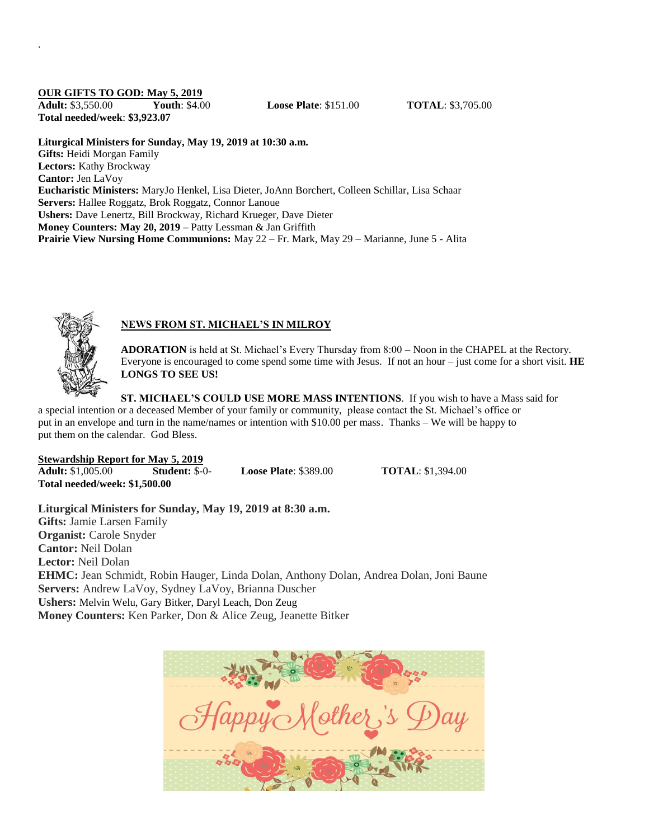#### **OUR GIFTS TO GOD: May 5, 2019**

.

**Adult:** \$3,550.00 **Youth**: \$4.00 **Loose Plate**: \$151.00 **TOTAL**: \$3,705.00 **Total needed/week**: **\$3,923.07**

**Liturgical Ministers for Sunday, May 19, 2019 at 10:30 a.m.**

**Gifts:** Heidi Morgan Family **Lectors:** Kathy Brockway **Cantor:** Jen LaVoy **Eucharistic Ministers:** MaryJo Henkel, Lisa Dieter, JoAnn Borchert, Colleen Schillar, Lisa Schaar **Servers:** Hallee Roggatz, Brok Roggatz, Connor Lanoue **Ushers:** Dave Lenertz, Bill Brockway, Richard Krueger, Dave Dieter **Money Counters: May 20, 2019 –** Patty Lessman & Jan Griffith **Prairie View Nursing Home Communions:** May 22 – Fr. Mark, May 29 – Marianne, June 5 - Alita



## **NEWS FROM ST. MICHAEL'S IN MILROY**

**ADORATION** is held at St. Michael's Every Thursday from 8:00 – Noon in the CHAPEL at the Rectory. Everyone is encouraged to come spend some time with Jesus. If not an hour – just come for a short visit. **HE LONGS TO SEE US!**

**ST. MICHAEL'S COULD USE MORE MASS INTENTIONS**. If you wish to have a Mass said for a special intention or a deceased Member of your family or community, please contact the St. Michael's office or put in an envelope and turn in the name/names or intention with \$10.00 per mass. Thanks – We will be happy to put them on the calendar. God Bless.

**Stewardship Report for May 5, 2019 Adult:** \$1,005.00 **Student:** \$-0- **Loose Plate**: \$389.00 **TOTAL**: \$1,394.00 **Total needed/week: \$1,500.00**

**Liturgical Ministers for Sunday, May 19, 2019 at 8:30 a.m. Gifts:** Jamie Larsen Family **Organist:** Carole Snyder **Cantor:** Neil Dolan **Lector:** Neil Dolan **EHMC:** Jean Schmidt, Robin Hauger, Linda Dolan, Anthony Dolan, Andrea Dolan, Joni Baune **Servers:** Andrew LaVoy, Sydney LaVoy, Brianna Duscher **Ushers:** Melvin Welu, Gary Bitker, Daryl Leach, Don Zeug **Money Counters:** Ken Parker, Don & Alice Zeug, Jeanette Bitker